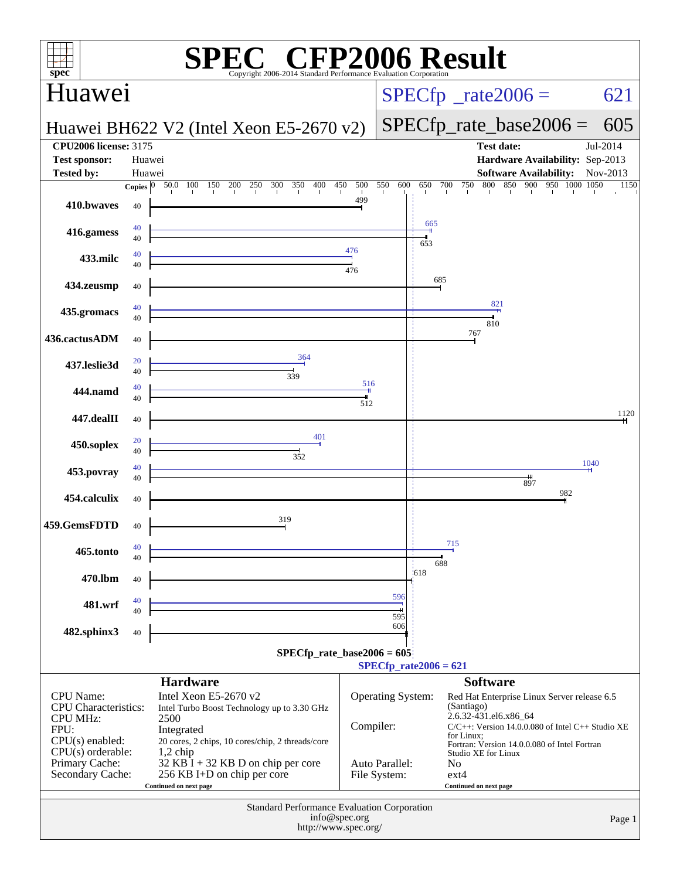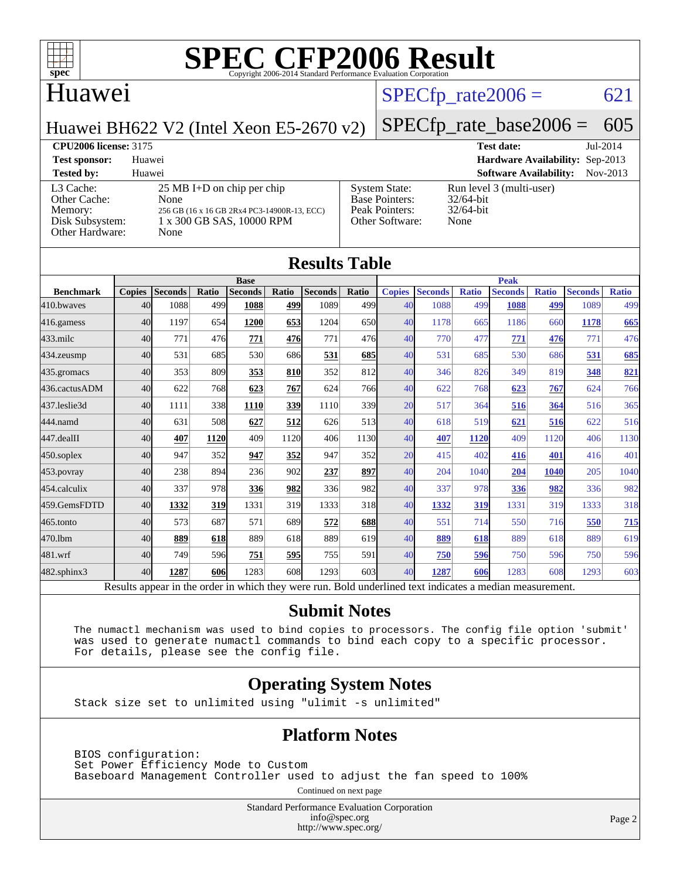

### Huawei

#### $SPECTp_rate2006 = 621$

Huawei BH622 V2 (Intel Xeon E5-2670 v2)

### [SPECfp\\_rate\\_base2006 =](http://www.spec.org/auto/cpu2006/Docs/result-fields.html#SPECfpratebase2006) 605

#### **[CPU2006 license:](http://www.spec.org/auto/cpu2006/Docs/result-fields.html#CPU2006license)** 3175 **[Test date:](http://www.spec.org/auto/cpu2006/Docs/result-fields.html#Testdate)** Jul-2014

**[Test sponsor:](http://www.spec.org/auto/cpu2006/Docs/result-fields.html#Testsponsor)** Huawei **[Hardware Availability:](http://www.spec.org/auto/cpu2006/Docs/result-fields.html#HardwareAvailability)** Sep-2013 **[Tested by:](http://www.spec.org/auto/cpu2006/Docs/result-fields.html#Testedby)** Huawei **[Software Availability:](http://www.spec.org/auto/cpu2006/Docs/result-fields.html#SoftwareAvailability)** Nov-2013 [L3 Cache:](http://www.spec.org/auto/cpu2006/Docs/result-fields.html#L3Cache) 25 MB I+D on chip per chip<br>Other Cache: None [Other Cache:](http://www.spec.org/auto/cpu2006/Docs/result-fields.html#OtherCache) [Memory:](http://www.spec.org/auto/cpu2006/Docs/result-fields.html#Memory) 256 GB (16 x 16 GB 2Rx4 PC3-14900R-13, ECC) [Disk Subsystem:](http://www.spec.org/auto/cpu2006/Docs/result-fields.html#DiskSubsystem) 1 x 300 GB SAS, 10000 RPM [Other Hardware:](http://www.spec.org/auto/cpu2006/Docs/result-fields.html#OtherHardware) None

| <b>System State:</b> | Run 1 |
|----------------------|-------|
| Base Pointers:       | 32/64 |
| Peak Pointers:       | 32/64 |
| Other Software:      | None  |
|                      |       |

In level 3 (multi-user)  $/64$ -bit  $/64$ -bit

|                  | <b>Base</b>     |                |       |                |              | <b>Peak</b>    |              |               |                |              |                |              |                |              |
|------------------|-----------------|----------------|-------|----------------|--------------|----------------|--------------|---------------|----------------|--------------|----------------|--------------|----------------|--------------|
| <b>Benchmark</b> | <b>Copies</b>   | <b>Seconds</b> | Ratio | <b>Seconds</b> | <b>Ratio</b> | <b>Seconds</b> | <b>Ratio</b> | <b>Copies</b> | <b>Seconds</b> | <b>Ratio</b> | <b>Seconds</b> | <b>Ratio</b> | <b>Seconds</b> | <b>Ratio</b> |
| 410.bwayes       | 40              | 1088           | 499   | 1088           | 499          | 1089           | 499          | 40            | 1088           | 499          | 1088           | 499          | 1089           | 499          |
| 416.gamess       | 40              | 1197           | 654   | 1200           | 653          | 1204           | 650          | 40            | 1178           | 665          | 1186           | 660          | 1178           | 665          |
| $433$ .milc      | 40              | 771            | 476   | 771            | 476          | 771            | 476          | 40            | 770            | 477          | 771            | 476          | 771            | 476          |
| 434.zeusmp       | 40              | 531            | 685   | 530            | 686          | 531            | 685          | 40            | 531            | 685          | 530            | 686          | 531            | 685          |
| 435.gromacs      | 40              | 353            | 809   | 353            | <b>810</b>   | 352            | 812          | 40            | 346            | 826          | 349            | 819          | 348            | 821          |
| 436.cactusADM    | 40              | 622            | 768   | 623            | 767          | 624            | 766          | 40            | 622            | 768          | 623            | 767          | 624            | 766          |
| 437.leslie3d     | 40              | 1111           | 338   | <b>1110</b>    | 339          | 1110           | 339          | 20            | 517            | 364          | 516            | 364          | 516            | 365          |
| 444.namd         | 40 <sup>1</sup> | 631            | 508   | 627            | 512          | 626            | 513          | 40            | 618            | 519          | 621            | 516          | 622            | 516          |
| 447.dealII       | 40              | 407            | 1120  | 409            | 1120         | 406            | 1130         | 40            | 407            | <b>1120</b>  | 409            | 1120         | 406            | 1130         |
| $450$ .soplex    | 40              | 947            | 352   | 947            | 352          | 947            | 352l         | 20            | 415            | 402          | 416            | 401          | 416            | 401          |
| 453.povray       | 40 <sup>1</sup> | 238            | 894   | 236            | 902          | 237            | 897          | 40            | 204            | 1040         | 204            | 1040         | 205            | 1040         |
| 454.calculix     | 40              | 337            | 978   | 336            | 982          | 336            | 982          | 40            | 337            | 978          | 336            | 982          | 336            | 982          |
| 459.GemsFDTD     | 40              | 1332           | 319   | 1331           | 319          | 1333           | 318          | 40            | 1332           | 319          | 1331           | 319          | 1333           | 318          |
| 465.tonto        | 40              | 573            | 687   | 571            | 689          | 572            | 688          | 40            | 551            | 714          | 550            | 716          | 550            | 715          |
| 470.1bm          | 40 <sup>1</sup> | 889            | 618   | 889            | 618          | 889            | 619          | 40            | 889            | 618          | 889            | 618          | 889            | 619          |
| 481.wrf          | 40              | 749            | 596   | 751            | 595          | 755            | 591          | 40            | 750            | 596          | 750            | 596          | 750            | 596          |
| 482.sphinx3      | 40              | 1287           | 606   | 1283           | 608          | 1293           | 603          | 40            | 1287           | 606          | 1283           | 608          | 1293           | 603          |

#### **[Submit Notes](http://www.spec.org/auto/cpu2006/Docs/result-fields.html#SubmitNotes)**

 The numactl mechanism was used to bind copies to processors. The config file option 'submit' was used to generate numactl commands to bind each copy to a specific processor. For details, please see the config file.

#### **[Operating System Notes](http://www.spec.org/auto/cpu2006/Docs/result-fields.html#OperatingSystemNotes)**

Stack size set to unlimited using "ulimit -s unlimited"

#### **[Platform Notes](http://www.spec.org/auto/cpu2006/Docs/result-fields.html#PlatformNotes)**

 BIOS configuration: Set Power Efficiency Mode to Custom Baseboard Management Controller used to adjust the fan speed to 100%

Continued on next page

Standard Performance Evaluation Corporation [info@spec.org](mailto:info@spec.org) <http://www.spec.org/>

Page 2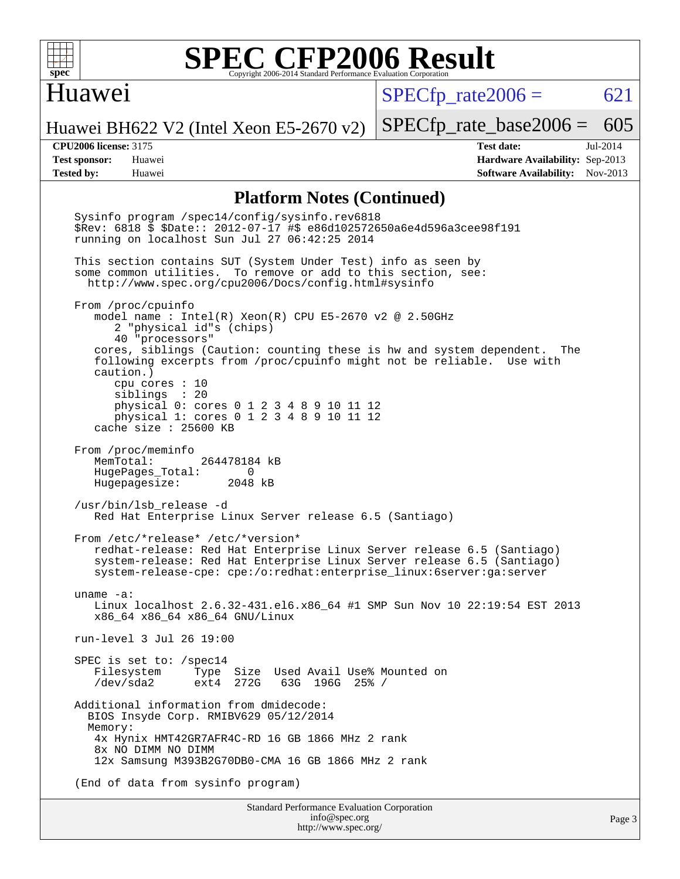

#### Huawei

 $SPECTp\_rate2006 = 621$ 

Huawei BH622 V2 (Intel Xeon E5-2670 v2)

[SPECfp\\_rate\\_base2006 =](http://www.spec.org/auto/cpu2006/Docs/result-fields.html#SPECfpratebase2006) 605

**[CPU2006 license:](http://www.spec.org/auto/cpu2006/Docs/result-fields.html#CPU2006license)** 3175 **[Test date:](http://www.spec.org/auto/cpu2006/Docs/result-fields.html#Testdate)** Jul-2014 **[Test sponsor:](http://www.spec.org/auto/cpu2006/Docs/result-fields.html#Testsponsor)** Huawei **[Hardware Availability:](http://www.spec.org/auto/cpu2006/Docs/result-fields.html#HardwareAvailability)** Sep-2013 **[Tested by:](http://www.spec.org/auto/cpu2006/Docs/result-fields.html#Testedby)** Huawei **[Software Availability:](http://www.spec.org/auto/cpu2006/Docs/result-fields.html#SoftwareAvailability)** Nov-2013

#### **[Platform Notes \(Continued\)](http://www.spec.org/auto/cpu2006/Docs/result-fields.html#PlatformNotes)**

Standard Performance Evaluation Corporation Sysinfo program /spec14/config/sysinfo.rev6818 \$Rev: 6818 \$ \$Date:: 2012-07-17 #\$ e86d102572650a6e4d596a3cee98f191 running on localhost Sun Jul 27 06:42:25 2014 This section contains SUT (System Under Test) info as seen by some common utilities. To remove or add to this section, see: <http://www.spec.org/cpu2006/Docs/config.html#sysinfo> From /proc/cpuinfo model name : Intel(R) Xeon(R) CPU E5-2670 v2 @ 2.50GHz 2 "physical id"s (chips) 40 "processors" cores, siblings (Caution: counting these is hw and system dependent. The following excerpts from /proc/cpuinfo might not be reliable. Use with caution.) cpu cores : 10 siblings : 20 physical 0: cores 0 1 2 3 4 8 9 10 11 12 physical 1: cores 0 1 2 3 4 8 9 10 11 12 cache size : 25600 KB From /proc/meminfo<br>MemTotal: 264478184 kB HugePages\_Total: 0<br>Hugepagesize: 2048 kB Hugepagesize: /usr/bin/lsb\_release -d Red Hat Enterprise Linux Server release 6.5 (Santiago) From /etc/\*release\* /etc/\*version\* redhat-release: Red Hat Enterprise Linux Server release 6.5 (Santiago) system-release: Red Hat Enterprise Linux Server release 6.5 (Santiago) system-release-cpe: cpe:/o:redhat:enterprise\_linux:6server:ga:server uname -a: Linux localhost 2.6.32-431.el6.x86\_64 #1 SMP Sun Nov 10 22:19:54 EST 2013 x86\_64 x86\_64 x86\_64 GNU/Linux run-level 3 Jul 26 19:00 SPEC is set to: /spec14 Filesystem Type Size Used-Avail-Use%-Mounted-on-<br>  $\sqrt{\text{dev/sda2}}$  ext4 272G 63G 196G 25%-/ /dev/sda2 ext4 272G 63G 196G 25% / Additional information from dmidecode: BIOS Insyde Corp. RMIBV629 05/12/2014 Memory: 4x Hynix HMT42GR7AFR4C-RD 16 GB 1866 MHz 2 rank 8x NO DIMM NO DIMM 12x Samsung M393B2G70DB0-CMA 16 GB 1866 MHz 2 rank (End of data from sysinfo program)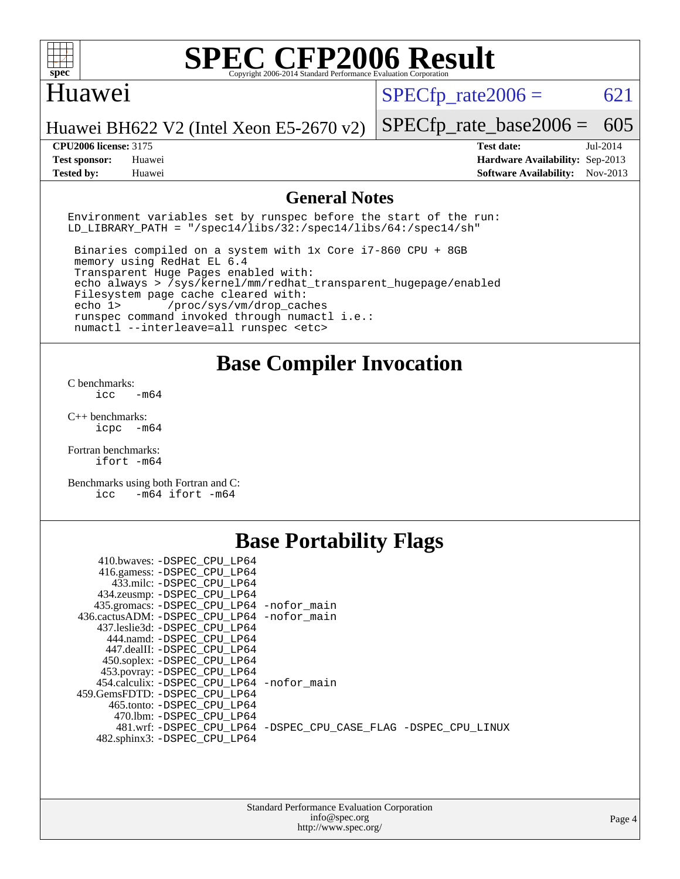

#### Huawei

 $SPECTp\_rate2006 = 621$ 

Huawei BH622 V2 (Intel Xeon E5-2670 v2)

#### **[CPU2006 license:](http://www.spec.org/auto/cpu2006/Docs/result-fields.html#CPU2006license)** 3175 **[Test date:](http://www.spec.org/auto/cpu2006/Docs/result-fields.html#Testdate)** Jul-2014

[SPECfp\\_rate\\_base2006 =](http://www.spec.org/auto/cpu2006/Docs/result-fields.html#SPECfpratebase2006) 605

**[Test sponsor:](http://www.spec.org/auto/cpu2006/Docs/result-fields.html#Testsponsor)** Huawei **[Hardware Availability:](http://www.spec.org/auto/cpu2006/Docs/result-fields.html#HardwareAvailability)** Sep-2013 **[Tested by:](http://www.spec.org/auto/cpu2006/Docs/result-fields.html#Testedby)** Huawei **[Software Availability:](http://www.spec.org/auto/cpu2006/Docs/result-fields.html#SoftwareAvailability)** Nov-2013

#### **[General Notes](http://www.spec.org/auto/cpu2006/Docs/result-fields.html#GeneralNotes)**

Environment variables set by runspec before the start of the run: LD LIBRARY PATH = "/spec14/libs/32:/spec14/libs/64:/spec14/sh"

 Binaries compiled on a system with 1x Core i7-860 CPU + 8GB memory using RedHat EL 6.4 Transparent Huge Pages enabled with: echo always > /sys/kernel/mm/redhat\_transparent\_hugepage/enabled Filesystem page cache cleared with: echo 1> /proc/sys/vm/drop\_caches runspec command invoked through numactl i.e.: numactl --interleave=all runspec <etc>

#### **[Base Compiler Invocation](http://www.spec.org/auto/cpu2006/Docs/result-fields.html#BaseCompilerInvocation)**

[C benchmarks](http://www.spec.org/auto/cpu2006/Docs/result-fields.html#Cbenchmarks):  $\text{icc}$   $-\text{m64}$ 

[C++ benchmarks:](http://www.spec.org/auto/cpu2006/Docs/result-fields.html#CXXbenchmarks) [icpc -m64](http://www.spec.org/cpu2006/results/res2014q3/cpu2006-20140727-30629.flags.html#user_CXXbase_intel_icpc_64bit_bedb90c1146cab66620883ef4f41a67e)

[Fortran benchmarks](http://www.spec.org/auto/cpu2006/Docs/result-fields.html#Fortranbenchmarks): [ifort -m64](http://www.spec.org/cpu2006/results/res2014q3/cpu2006-20140727-30629.flags.html#user_FCbase_intel_ifort_64bit_ee9d0fb25645d0210d97eb0527dcc06e)

[Benchmarks using both Fortran and C](http://www.spec.org/auto/cpu2006/Docs/result-fields.html#BenchmarksusingbothFortranandC): [icc -m64](http://www.spec.org/cpu2006/results/res2014q3/cpu2006-20140727-30629.flags.html#user_CC_FCbase_intel_icc_64bit_0b7121f5ab7cfabee23d88897260401c) [ifort -m64](http://www.spec.org/cpu2006/results/res2014q3/cpu2006-20140727-30629.flags.html#user_CC_FCbase_intel_ifort_64bit_ee9d0fb25645d0210d97eb0527dcc06e)

### **[Base Portability Flags](http://www.spec.org/auto/cpu2006/Docs/result-fields.html#BasePortabilityFlags)**

| 410.bwaves: -DSPEC CPU LP64                  |                                                                |
|----------------------------------------------|----------------------------------------------------------------|
| 416.gamess: - DSPEC_CPU_LP64                 |                                                                |
| 433.milc: -DSPEC CPU LP64                    |                                                                |
| 434.zeusmp: - DSPEC_CPU_LP64                 |                                                                |
| 435.gromacs: -DSPEC_CPU_LP64 -nofor_main     |                                                                |
| 436.cactusADM: - DSPEC CPU LP64 - nofor main |                                                                |
| 437.leslie3d: -DSPEC CPU LP64                |                                                                |
| 444.namd: -DSPEC CPU LP64                    |                                                                |
| 447.dealII: -DSPEC CPU LP64                  |                                                                |
| 450.soplex: -DSPEC_CPU_LP64                  |                                                                |
| 453.povray: -DSPEC_CPU_LP64                  |                                                                |
| 454.calculix: - DSPEC CPU LP64 - nofor main  |                                                                |
| 459.GemsFDTD: -DSPEC CPU LP64                |                                                                |
| 465.tonto: - DSPEC CPU LP64                  |                                                                |
| 470.1bm: - DSPEC CPU LP64                    |                                                                |
|                                              | 481.wrf: -DSPEC CPU_LP64 -DSPEC_CPU_CASE_FLAG -DSPEC_CPU_LINUX |
| 482.sphinx3: -DSPEC CPU LP64                 |                                                                |
|                                              |                                                                |

| <b>Standard Performance Evaluation Corporation</b> |
|----------------------------------------------------|
| info@spec.org                                      |
| http://www.spec.org/                               |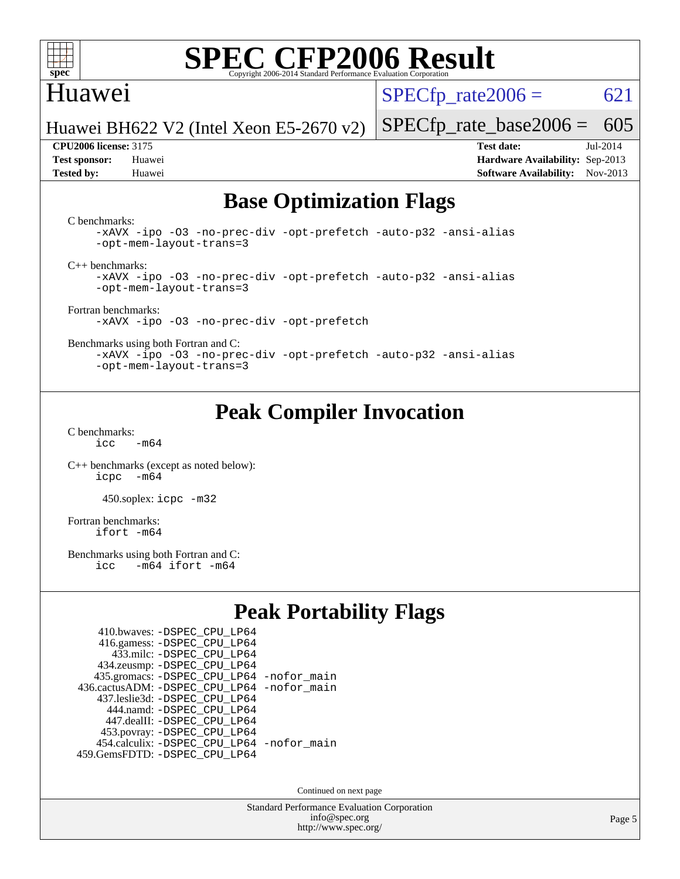

### Huawei

 $SPECTp\_rate2006 = 621$ 

Huawei BH622 V2 (Intel Xeon E5-2670 v2) [SPECfp\\_rate\\_base2006 =](http://www.spec.org/auto/cpu2006/Docs/result-fields.html#SPECfpratebase2006) 605

**[Tested by:](http://www.spec.org/auto/cpu2006/Docs/result-fields.html#Testedby)** Huawei **[Software Availability:](http://www.spec.org/auto/cpu2006/Docs/result-fields.html#SoftwareAvailability)** Nov-2013

**[CPU2006 license:](http://www.spec.org/auto/cpu2006/Docs/result-fields.html#CPU2006license)** 3175 **[Test date:](http://www.spec.org/auto/cpu2006/Docs/result-fields.html#Testdate)** Jul-2014 **[Test sponsor:](http://www.spec.org/auto/cpu2006/Docs/result-fields.html#Testsponsor)** Huawei **[Hardware Availability:](http://www.spec.org/auto/cpu2006/Docs/result-fields.html#HardwareAvailability)** Sep-2013

### **[Base Optimization Flags](http://www.spec.org/auto/cpu2006/Docs/result-fields.html#BaseOptimizationFlags)**

[C benchmarks](http://www.spec.org/auto/cpu2006/Docs/result-fields.html#Cbenchmarks):

[-xAVX](http://www.spec.org/cpu2006/results/res2014q3/cpu2006-20140727-30629.flags.html#user_CCbase_f-xAVX) [-ipo](http://www.spec.org/cpu2006/results/res2014q3/cpu2006-20140727-30629.flags.html#user_CCbase_f-ipo) [-O3](http://www.spec.org/cpu2006/results/res2014q3/cpu2006-20140727-30629.flags.html#user_CCbase_f-O3) [-no-prec-div](http://www.spec.org/cpu2006/results/res2014q3/cpu2006-20140727-30629.flags.html#user_CCbase_f-no-prec-div) [-opt-prefetch](http://www.spec.org/cpu2006/results/res2014q3/cpu2006-20140727-30629.flags.html#user_CCbase_f-opt-prefetch) [-auto-p32](http://www.spec.org/cpu2006/results/res2014q3/cpu2006-20140727-30629.flags.html#user_CCbase_f-auto-p32) [-ansi-alias](http://www.spec.org/cpu2006/results/res2014q3/cpu2006-20140727-30629.flags.html#user_CCbase_f-ansi-alias) [-opt-mem-layout-trans=3](http://www.spec.org/cpu2006/results/res2014q3/cpu2006-20140727-30629.flags.html#user_CCbase_f-opt-mem-layout-trans_a7b82ad4bd7abf52556d4961a2ae94d5)

[C++ benchmarks:](http://www.spec.org/auto/cpu2006/Docs/result-fields.html#CXXbenchmarks)

[-xAVX](http://www.spec.org/cpu2006/results/res2014q3/cpu2006-20140727-30629.flags.html#user_CXXbase_f-xAVX) [-ipo](http://www.spec.org/cpu2006/results/res2014q3/cpu2006-20140727-30629.flags.html#user_CXXbase_f-ipo) [-O3](http://www.spec.org/cpu2006/results/res2014q3/cpu2006-20140727-30629.flags.html#user_CXXbase_f-O3) [-no-prec-div](http://www.spec.org/cpu2006/results/res2014q3/cpu2006-20140727-30629.flags.html#user_CXXbase_f-no-prec-div) [-opt-prefetch](http://www.spec.org/cpu2006/results/res2014q3/cpu2006-20140727-30629.flags.html#user_CXXbase_f-opt-prefetch) [-auto-p32](http://www.spec.org/cpu2006/results/res2014q3/cpu2006-20140727-30629.flags.html#user_CXXbase_f-auto-p32) [-ansi-alias](http://www.spec.org/cpu2006/results/res2014q3/cpu2006-20140727-30629.flags.html#user_CXXbase_f-ansi-alias) [-opt-mem-layout-trans=3](http://www.spec.org/cpu2006/results/res2014q3/cpu2006-20140727-30629.flags.html#user_CXXbase_f-opt-mem-layout-trans_a7b82ad4bd7abf52556d4961a2ae94d5)

[Fortran benchmarks](http://www.spec.org/auto/cpu2006/Docs/result-fields.html#Fortranbenchmarks): [-xAVX](http://www.spec.org/cpu2006/results/res2014q3/cpu2006-20140727-30629.flags.html#user_FCbase_f-xAVX) [-ipo](http://www.spec.org/cpu2006/results/res2014q3/cpu2006-20140727-30629.flags.html#user_FCbase_f-ipo) [-O3](http://www.spec.org/cpu2006/results/res2014q3/cpu2006-20140727-30629.flags.html#user_FCbase_f-O3) [-no-prec-div](http://www.spec.org/cpu2006/results/res2014q3/cpu2006-20140727-30629.flags.html#user_FCbase_f-no-prec-div) [-opt-prefetch](http://www.spec.org/cpu2006/results/res2014q3/cpu2006-20140727-30629.flags.html#user_FCbase_f-opt-prefetch)

[Benchmarks using both Fortran and C](http://www.spec.org/auto/cpu2006/Docs/result-fields.html#BenchmarksusingbothFortranandC):

[-xAVX](http://www.spec.org/cpu2006/results/res2014q3/cpu2006-20140727-30629.flags.html#user_CC_FCbase_f-xAVX) [-ipo](http://www.spec.org/cpu2006/results/res2014q3/cpu2006-20140727-30629.flags.html#user_CC_FCbase_f-ipo) [-O3](http://www.spec.org/cpu2006/results/res2014q3/cpu2006-20140727-30629.flags.html#user_CC_FCbase_f-O3) [-no-prec-div](http://www.spec.org/cpu2006/results/res2014q3/cpu2006-20140727-30629.flags.html#user_CC_FCbase_f-no-prec-div) [-opt-prefetch](http://www.spec.org/cpu2006/results/res2014q3/cpu2006-20140727-30629.flags.html#user_CC_FCbase_f-opt-prefetch) [-auto-p32](http://www.spec.org/cpu2006/results/res2014q3/cpu2006-20140727-30629.flags.html#user_CC_FCbase_f-auto-p32) [-ansi-alias](http://www.spec.org/cpu2006/results/res2014q3/cpu2006-20140727-30629.flags.html#user_CC_FCbase_f-ansi-alias) [-opt-mem-layout-trans=3](http://www.spec.org/cpu2006/results/res2014q3/cpu2006-20140727-30629.flags.html#user_CC_FCbase_f-opt-mem-layout-trans_a7b82ad4bd7abf52556d4961a2ae94d5)

## **[Peak Compiler Invocation](http://www.spec.org/auto/cpu2006/Docs/result-fields.html#PeakCompilerInvocation)**

[C benchmarks](http://www.spec.org/auto/cpu2006/Docs/result-fields.html#Cbenchmarks):  $icc$   $-m64$ 

[C++ benchmarks \(except as noted below\):](http://www.spec.org/auto/cpu2006/Docs/result-fields.html#CXXbenchmarksexceptasnotedbelow) [icpc -m64](http://www.spec.org/cpu2006/results/res2014q3/cpu2006-20140727-30629.flags.html#user_CXXpeak_intel_icpc_64bit_bedb90c1146cab66620883ef4f41a67e)

450.soplex: [icpc -m32](http://www.spec.org/cpu2006/results/res2014q3/cpu2006-20140727-30629.flags.html#user_peakCXXLD450_soplex_intel_icpc_4e5a5ef1a53fd332b3c49e69c3330699)

[Fortran benchmarks](http://www.spec.org/auto/cpu2006/Docs/result-fields.html#Fortranbenchmarks): [ifort -m64](http://www.spec.org/cpu2006/results/res2014q3/cpu2006-20140727-30629.flags.html#user_FCpeak_intel_ifort_64bit_ee9d0fb25645d0210d97eb0527dcc06e)

[Benchmarks using both Fortran and C](http://www.spec.org/auto/cpu2006/Docs/result-fields.html#BenchmarksusingbothFortranandC):<br>icc -m64 ifort -m64  $-m64$  ifort  $-m64$ 

### **[Peak Portability Flags](http://www.spec.org/auto/cpu2006/Docs/result-fields.html#PeakPortabilityFlags)**

| 410.bwaves: - DSPEC CPU LP64                |  |
|---------------------------------------------|--|
| 416.gamess: -DSPEC_CPU_LP64                 |  |
| 433.milc: - DSPEC_CPU LP64                  |  |
| 434.zeusmp: -DSPEC_CPU_LP64                 |  |
| 435.gromacs: -DSPEC_CPU_LP64 -nofor_main    |  |
| 436.cactusADM: -DSPEC CPU LP64 -nofor main  |  |
| 437.leslie3d: -DSPEC CPU LP64               |  |
| 444.namd: - DSPEC CPU LP64                  |  |
| 447.dealII: -DSPEC CPU LP64                 |  |
| 453.povray: -DSPEC_CPU_LP64                 |  |
| 454.calculix: - DSPEC CPU LP64 - nofor main |  |
| 459.GemsFDTD: - DSPEC_CPU_LP64              |  |

Continued on next page

Standard Performance Evaluation Corporation [info@spec.org](mailto:info@spec.org) <http://www.spec.org/>

Page 5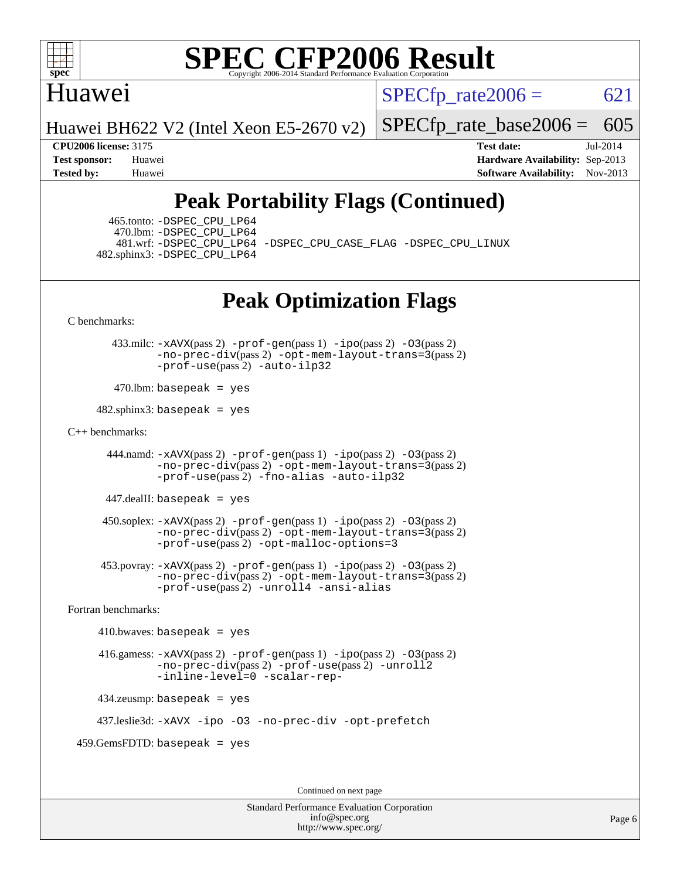

### Huawei

 $SPECTp\_rate2006 = 621$ 

Huawei BH622 V2 (Intel Xeon E5-2670 v2)

[SPECfp\\_rate\\_base2006 =](http://www.spec.org/auto/cpu2006/Docs/result-fields.html#SPECfpratebase2006) 605

**[CPU2006 license:](http://www.spec.org/auto/cpu2006/Docs/result-fields.html#CPU2006license)** 3175 **[Test date:](http://www.spec.org/auto/cpu2006/Docs/result-fields.html#Testdate)** Jul-2014 **[Test sponsor:](http://www.spec.org/auto/cpu2006/Docs/result-fields.html#Testsponsor)** Huawei **[Hardware Availability:](http://www.spec.org/auto/cpu2006/Docs/result-fields.html#HardwareAvailability)** Sep-2013 **[Tested by:](http://www.spec.org/auto/cpu2006/Docs/result-fields.html#Testedby)** Huawei **[Software Availability:](http://www.spec.org/auto/cpu2006/Docs/result-fields.html#SoftwareAvailability)** Nov-2013

# **[Peak Portability Flags \(Continued\)](http://www.spec.org/auto/cpu2006/Docs/result-fields.html#PeakPortabilityFlags)**

 465.tonto: [-DSPEC\\_CPU\\_LP64](http://www.spec.org/cpu2006/results/res2014q3/cpu2006-20140727-30629.flags.html#suite_peakPORTABILITY465_tonto_DSPEC_CPU_LP64) 470.lbm: [-DSPEC\\_CPU\\_LP64](http://www.spec.org/cpu2006/results/res2014q3/cpu2006-20140727-30629.flags.html#suite_peakPORTABILITY470_lbm_DSPEC_CPU_LP64) 482.sphinx3: [-DSPEC\\_CPU\\_LP64](http://www.spec.org/cpu2006/results/res2014q3/cpu2006-20140727-30629.flags.html#suite_peakPORTABILITY482_sphinx3_DSPEC_CPU_LP64)

481.wrf: [-DSPEC\\_CPU\\_LP64](http://www.spec.org/cpu2006/results/res2014q3/cpu2006-20140727-30629.flags.html#suite_peakPORTABILITY481_wrf_DSPEC_CPU_LP64) [-DSPEC\\_CPU\\_CASE\\_FLAG](http://www.spec.org/cpu2006/results/res2014q3/cpu2006-20140727-30629.flags.html#b481.wrf_peakCPORTABILITY_DSPEC_CPU_CASE_FLAG) [-DSPEC\\_CPU\\_LINUX](http://www.spec.org/cpu2006/results/res2014q3/cpu2006-20140727-30629.flags.html#b481.wrf_peakCPORTABILITY_DSPEC_CPU_LINUX)

## **[Peak Optimization Flags](http://www.spec.org/auto/cpu2006/Docs/result-fields.html#PeakOptimizationFlags)**

[C benchmarks](http://www.spec.org/auto/cpu2006/Docs/result-fields.html#Cbenchmarks):

 433.milc: [-xAVX](http://www.spec.org/cpu2006/results/res2014q3/cpu2006-20140727-30629.flags.html#user_peakPASS2_CFLAGSPASS2_LDFLAGS433_milc_f-xAVX)(pass 2) [-prof-gen](http://www.spec.org/cpu2006/results/res2014q3/cpu2006-20140727-30629.flags.html#user_peakPASS1_CFLAGSPASS1_LDFLAGS433_milc_prof_gen_e43856698f6ca7b7e442dfd80e94a8fc)(pass 1) [-ipo](http://www.spec.org/cpu2006/results/res2014q3/cpu2006-20140727-30629.flags.html#user_peakPASS2_CFLAGSPASS2_LDFLAGS433_milc_f-ipo)(pass 2) [-O3](http://www.spec.org/cpu2006/results/res2014q3/cpu2006-20140727-30629.flags.html#user_peakPASS2_CFLAGSPASS2_LDFLAGS433_milc_f-O3)(pass 2) [-no-prec-div](http://www.spec.org/cpu2006/results/res2014q3/cpu2006-20140727-30629.flags.html#user_peakPASS2_CFLAGSPASS2_LDFLAGS433_milc_f-no-prec-div)(pass 2) [-opt-mem-layout-trans=3](http://www.spec.org/cpu2006/results/res2014q3/cpu2006-20140727-30629.flags.html#user_peakPASS2_CFLAGS433_milc_f-opt-mem-layout-trans_a7b82ad4bd7abf52556d4961a2ae94d5)(pass 2) [-prof-use](http://www.spec.org/cpu2006/results/res2014q3/cpu2006-20140727-30629.flags.html#user_peakPASS2_CFLAGSPASS2_LDFLAGS433_milc_prof_use_bccf7792157ff70d64e32fe3e1250b55)(pass 2) [-auto-ilp32](http://www.spec.org/cpu2006/results/res2014q3/cpu2006-20140727-30629.flags.html#user_peakCOPTIMIZE433_milc_f-auto-ilp32)

 $470$ .lbm: basepeak = yes

 $482$ .sphinx3: basepeak = yes

#### [C++ benchmarks:](http://www.spec.org/auto/cpu2006/Docs/result-fields.html#CXXbenchmarks)

 444.namd: [-xAVX](http://www.spec.org/cpu2006/results/res2014q3/cpu2006-20140727-30629.flags.html#user_peakPASS2_CXXFLAGSPASS2_LDFLAGS444_namd_f-xAVX)(pass 2) [-prof-gen](http://www.spec.org/cpu2006/results/res2014q3/cpu2006-20140727-30629.flags.html#user_peakPASS1_CXXFLAGSPASS1_LDFLAGS444_namd_prof_gen_e43856698f6ca7b7e442dfd80e94a8fc)(pass 1) [-ipo](http://www.spec.org/cpu2006/results/res2014q3/cpu2006-20140727-30629.flags.html#user_peakPASS2_CXXFLAGSPASS2_LDFLAGS444_namd_f-ipo)(pass 2) [-O3](http://www.spec.org/cpu2006/results/res2014q3/cpu2006-20140727-30629.flags.html#user_peakPASS2_CXXFLAGSPASS2_LDFLAGS444_namd_f-O3)(pass 2) [-no-prec-div](http://www.spec.org/cpu2006/results/res2014q3/cpu2006-20140727-30629.flags.html#user_peakPASS2_CXXFLAGSPASS2_LDFLAGS444_namd_f-no-prec-div)(pass 2) [-opt-mem-layout-trans=3](http://www.spec.org/cpu2006/results/res2014q3/cpu2006-20140727-30629.flags.html#user_peakPASS2_CXXFLAGS444_namd_f-opt-mem-layout-trans_a7b82ad4bd7abf52556d4961a2ae94d5)(pass 2) [-prof-use](http://www.spec.org/cpu2006/results/res2014q3/cpu2006-20140727-30629.flags.html#user_peakPASS2_CXXFLAGSPASS2_LDFLAGS444_namd_prof_use_bccf7792157ff70d64e32fe3e1250b55)(pass 2) [-fno-alias](http://www.spec.org/cpu2006/results/res2014q3/cpu2006-20140727-30629.flags.html#user_peakCXXOPTIMIZE444_namd_f-no-alias_694e77f6c5a51e658e82ccff53a9e63a) [-auto-ilp32](http://www.spec.org/cpu2006/results/res2014q3/cpu2006-20140727-30629.flags.html#user_peakCXXOPTIMIZE444_namd_f-auto-ilp32)

447.dealII: basepeak = yes

 $450$ .soplex:  $-x$ AVX(pass 2)  $-p$ rof-gen(pass 1)  $-i$ po(pass 2)  $-03$ (pass 2) [-no-prec-div](http://www.spec.org/cpu2006/results/res2014q3/cpu2006-20140727-30629.flags.html#user_peakPASS2_CXXFLAGSPASS2_LDFLAGS450_soplex_f-no-prec-div)(pass 2) [-opt-mem-layout-trans=3](http://www.spec.org/cpu2006/results/res2014q3/cpu2006-20140727-30629.flags.html#user_peakPASS2_CXXFLAGS450_soplex_f-opt-mem-layout-trans_a7b82ad4bd7abf52556d4961a2ae94d5)(pass 2) [-prof-use](http://www.spec.org/cpu2006/results/res2014q3/cpu2006-20140727-30629.flags.html#user_peakPASS2_CXXFLAGSPASS2_LDFLAGS450_soplex_prof_use_bccf7792157ff70d64e32fe3e1250b55)(pass 2) [-opt-malloc-options=3](http://www.spec.org/cpu2006/results/res2014q3/cpu2006-20140727-30629.flags.html#user_peakOPTIMIZE450_soplex_f-opt-malloc-options_13ab9b803cf986b4ee62f0a5998c2238)

 453.povray: [-xAVX](http://www.spec.org/cpu2006/results/res2014q3/cpu2006-20140727-30629.flags.html#user_peakPASS2_CXXFLAGSPASS2_LDFLAGS453_povray_f-xAVX)(pass 2) [-prof-gen](http://www.spec.org/cpu2006/results/res2014q3/cpu2006-20140727-30629.flags.html#user_peakPASS1_CXXFLAGSPASS1_LDFLAGS453_povray_prof_gen_e43856698f6ca7b7e442dfd80e94a8fc)(pass 1) [-ipo](http://www.spec.org/cpu2006/results/res2014q3/cpu2006-20140727-30629.flags.html#user_peakPASS2_CXXFLAGSPASS2_LDFLAGS453_povray_f-ipo)(pass 2) [-O3](http://www.spec.org/cpu2006/results/res2014q3/cpu2006-20140727-30629.flags.html#user_peakPASS2_CXXFLAGSPASS2_LDFLAGS453_povray_f-O3)(pass 2) [-no-prec-div](http://www.spec.org/cpu2006/results/res2014q3/cpu2006-20140727-30629.flags.html#user_peakPASS2_CXXFLAGSPASS2_LDFLAGS453_povray_f-no-prec-div)(pass 2) [-opt-mem-layout-trans=3](http://www.spec.org/cpu2006/results/res2014q3/cpu2006-20140727-30629.flags.html#user_peakPASS2_CXXFLAGS453_povray_f-opt-mem-layout-trans_a7b82ad4bd7abf52556d4961a2ae94d5)(pass 2) [-prof-use](http://www.spec.org/cpu2006/results/res2014q3/cpu2006-20140727-30629.flags.html#user_peakPASS2_CXXFLAGSPASS2_LDFLAGS453_povray_prof_use_bccf7792157ff70d64e32fe3e1250b55)(pass 2) [-unroll4](http://www.spec.org/cpu2006/results/res2014q3/cpu2006-20140727-30629.flags.html#user_peakCXXOPTIMIZE453_povray_f-unroll_4e5e4ed65b7fd20bdcd365bec371b81f) [-ansi-alias](http://www.spec.org/cpu2006/results/res2014q3/cpu2006-20140727-30629.flags.html#user_peakCXXOPTIMIZE453_povray_f-ansi-alias)

[Fortran benchmarks](http://www.spec.org/auto/cpu2006/Docs/result-fields.html#Fortranbenchmarks):

 $410.bwaves: basepeak = yes$  416.gamess: [-xAVX](http://www.spec.org/cpu2006/results/res2014q3/cpu2006-20140727-30629.flags.html#user_peakPASS2_FFLAGSPASS2_LDFLAGS416_gamess_f-xAVX)(pass 2) [-prof-gen](http://www.spec.org/cpu2006/results/res2014q3/cpu2006-20140727-30629.flags.html#user_peakPASS1_FFLAGSPASS1_LDFLAGS416_gamess_prof_gen_e43856698f6ca7b7e442dfd80e94a8fc)(pass 1) [-ipo](http://www.spec.org/cpu2006/results/res2014q3/cpu2006-20140727-30629.flags.html#user_peakPASS2_FFLAGSPASS2_LDFLAGS416_gamess_f-ipo)(pass 2) [-O3](http://www.spec.org/cpu2006/results/res2014q3/cpu2006-20140727-30629.flags.html#user_peakPASS2_FFLAGSPASS2_LDFLAGS416_gamess_f-O3)(pass 2) [-no-prec-div](http://www.spec.org/cpu2006/results/res2014q3/cpu2006-20140727-30629.flags.html#user_peakPASS2_FFLAGSPASS2_LDFLAGS416_gamess_f-no-prec-div)(pass 2) [-prof-use](http://www.spec.org/cpu2006/results/res2014q3/cpu2006-20140727-30629.flags.html#user_peakPASS2_FFLAGSPASS2_LDFLAGS416_gamess_prof_use_bccf7792157ff70d64e32fe3e1250b55)(pass 2) [-unroll2](http://www.spec.org/cpu2006/results/res2014q3/cpu2006-20140727-30629.flags.html#user_peakOPTIMIZE416_gamess_f-unroll_784dae83bebfb236979b41d2422d7ec2) [-inline-level=0](http://www.spec.org/cpu2006/results/res2014q3/cpu2006-20140727-30629.flags.html#user_peakOPTIMIZE416_gamess_f-inline-level_318d07a09274ad25e8d15dbfaa68ba50) [-scalar-rep-](http://www.spec.org/cpu2006/results/res2014q3/cpu2006-20140727-30629.flags.html#user_peakOPTIMIZE416_gamess_f-disablescalarrep_abbcad04450fb118e4809c81d83c8a1d) 434.zeusmp: basepeak = yes

437.leslie3d: [-xAVX](http://www.spec.org/cpu2006/results/res2014q3/cpu2006-20140727-30629.flags.html#user_peakOPTIMIZE437_leslie3d_f-xAVX) [-ipo](http://www.spec.org/cpu2006/results/res2014q3/cpu2006-20140727-30629.flags.html#user_peakOPTIMIZE437_leslie3d_f-ipo) [-O3](http://www.spec.org/cpu2006/results/res2014q3/cpu2006-20140727-30629.flags.html#user_peakOPTIMIZE437_leslie3d_f-O3) [-no-prec-div](http://www.spec.org/cpu2006/results/res2014q3/cpu2006-20140727-30629.flags.html#user_peakOPTIMIZE437_leslie3d_f-no-prec-div) [-opt-prefetch](http://www.spec.org/cpu2006/results/res2014q3/cpu2006-20140727-30629.flags.html#user_peakOPTIMIZE437_leslie3d_f-opt-prefetch)

459.GemsFDTD: basepeak = yes

Continued on next page

Standard Performance Evaluation Corporation [info@spec.org](mailto:info@spec.org) <http://www.spec.org/>